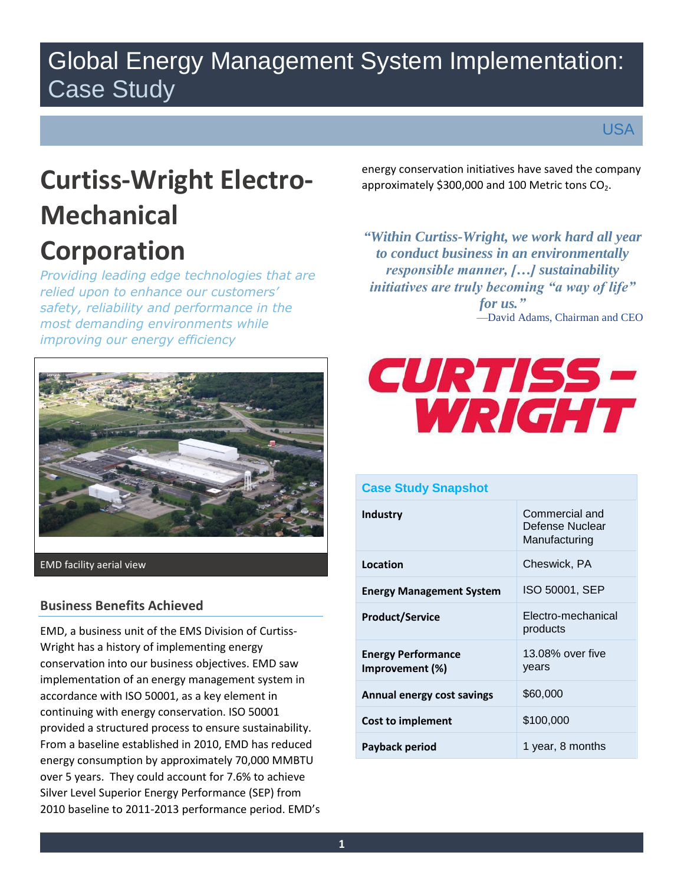## Global Energy Management System Implementation: Case Study

USA

# **Curtiss-Wright Electro-Mechanical Corporation**

 *safety, reliability and performance in the improving our energy efficiency Providing leading edge technologies that are relied upon to enhance our customers' most demanding environments while* 



EMD facility aerial view

## **Business Benefits Achieved**

 energy consumption by approximately 70,000 MMBTU Silver Level Superior Energy Performance (SEP) from EMD, a business unit of the EMS Division of Curtiss-Wright has a history of implementing energy conservation into our business objectives. EMD saw implementation of an energy management system in accordance with ISO 50001, as a key element in continuing with energy conservation. ISO 50001 provided a structured process to ensure sustainability. From a baseline established in 2010, EMD has reduced over 5 years. They could account for 7.6% to achieve 2010 baseline to 2011-2013 performance period. EMD's

approximately \$300,000 and 100 Metric tons  $CO<sub>2</sub>$ . energy conservation initiatives have saved the company

 —David Adams, Chairman and CEO *"Within Curtiss-Wright, we work hard all year to conduct business in an environmentally responsible manner, […] sustainability initiatives are truly becoming "a way of life" for us."* 



| <b>Case Study Snapshot</b>                   |                                                    |  |
|----------------------------------------------|----------------------------------------------------|--|
| <b>Industry</b>                              | Commercial and<br>Defense Nuclear<br>Manufacturing |  |
| Location                                     | Cheswick, PA                                       |  |
| <b>Energy Management System</b>              | ISO 50001, SEP                                     |  |
| <b>Product/Service</b>                       | Electro-mechanical<br>products                     |  |
| <b>Energy Performance</b><br>Improvement (%) | 13.08% over five<br>years                          |  |
| Annual energy cost savings                   | \$60,000                                           |  |
| Cost to implement                            | \$100,000                                          |  |
| Payback period                               | 1 year, 8 months                                   |  |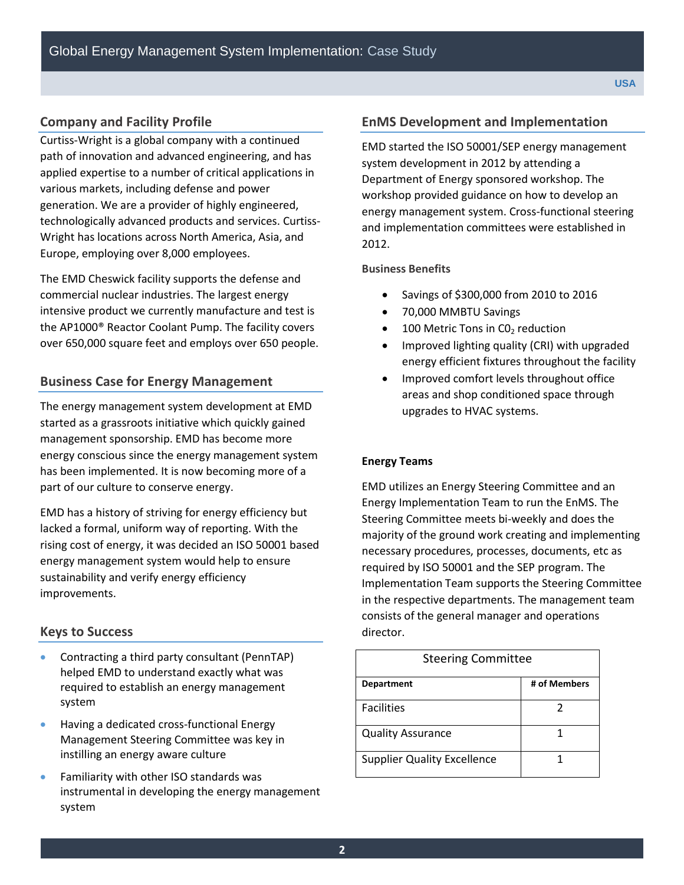## **Company and Facility Profile**

Curtiss-Wright is a global company with a continued path of innovation and advanced engineering, and has applied expertise to a number of critical applications in various markets, including defense and power generation. We are a provider of highly engineered, technologically advanced products and services. Curtiss-Wright has locations across North America, Asia, and Europe, employing over 8,000 employees.

 commercial nuclear industries. The largest energy the AP1000® Reactor Coolant Pump. The facility covers The EMD Cheswick facility supports the defense and intensive product we currently manufacture and test is over 650,000 square feet and employs over 650 people.

## **Business Case for Energy Management**

 The energy management system development at EMD started as a grassroots initiative which quickly gained management sponsorship. EMD has become more energy conscious since the energy management system has been implemented. It is now becoming more of a part of our culture to conserve energy.

 energy management system would help to ensure EMD has a history of striving for energy efficiency but lacked a formal, uniform way of reporting. With the rising cost of energy, it was decided an ISO 50001 based sustainability and verify energy efficiency improvements.

## **Keys to Success**

- Contracting a third party consultant (PennTAP) helped EMD to understand exactly what was required to establish an energy management system
- **•** Having a dedicated cross-functional Energy Management Steering Committee was key in instilling an energy aware culture
- Familiarity with other ISO standards was instrumental in developing the energy management system

#### **EnMS Development and Implementation**

 2012. EMD started the ISO 50001/SEP energy management system development in 2012 by attending a Department of Energy sponsored workshop. The workshop provided guidance on how to develop an energy management system. Cross-functional steering and implementation committees were established in

#### **Business Benefits**

- Savings of \$300,000 from 2010 to 2016
- 70,000 MMBTU Savings
- $\bullet$  100 Metric Tons in CO<sub>2</sub> reduction
- Improved lighting quality (CRI) with upgraded energy efficient fixtures throughout the facility
- upgrades to HVAC systems. Improved comfort levels throughout office areas and shop conditioned space through

#### **Energy Teams**

 Energy Implementation Team to run the EnMS. The Steering Committee meets bi-weekly and does the majority of the ground work creating and implementing Implementation Team supports the Steering Committee consists of the general manager and operations EMD utilizes an Energy Steering Committee and an necessary procedures, processes, documents, etc as required by ISO 50001 and the SEP program. The in the respective departments. The management team director.

| <b>Steering Committee</b>          |              |
|------------------------------------|--------------|
| <b>Department</b>                  | # of Members |
| <b>Facilities</b>                  | 2            |
| <b>Quality Assurance</b>           |              |
| <b>Supplier Quality Excellence</b> |              |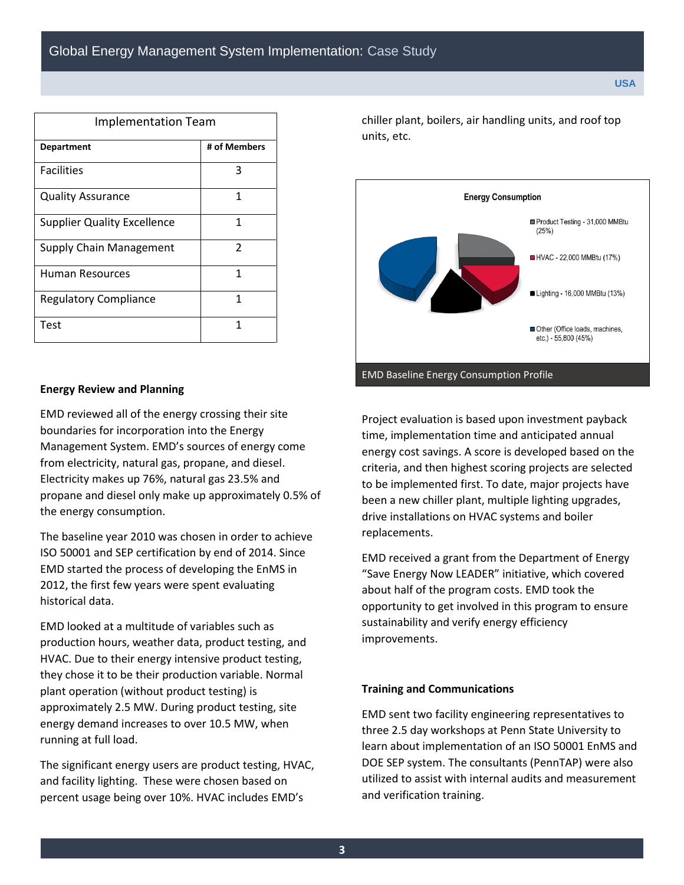| <b>Implementation Team</b>         |               |  |
|------------------------------------|---------------|--|
| <b>Department</b>                  | # of Members  |  |
| <b>Facilities</b>                  | 3             |  |
| <b>Quality Assurance</b>           | 1             |  |
| <b>Supplier Quality Excellence</b> | 1             |  |
| <b>Supply Chain Management</b>     | $\mathcal{P}$ |  |
| Human Resources                    | 1             |  |
| <b>Regulatory Compliance</b>       | 1             |  |
| Test                               | 1             |  |

#### **Energy Review and Planning**

 Management System. EMD's sources of energy come Electricity makes up 76%, natural gas 23.5% and EMD reviewed all of the energy crossing their site boundaries for incorporation into the Energy from electricity, natural gas, propane, and diesel. propane and diesel only make up approximately 0.5% of the energy consumption.

The baseline year 2010 was chosen in order to achieve ISO 50001 and SEP certification by end of 2014. Since EMD started the process of developing the EnMS in 2012, the first few years were spent evaluating historical data.

 energy demand increases to over 10.5 MW, when EMD looked at a multitude of variables such as production hours, weather data, product testing, and HVAC. Due to their energy intensive product testing, they chose it to be their production variable. Normal plant operation (without product testing) is approximately 2.5 MW. During product testing, site running at full load.

 and facility lighting. These were chosen based on The significant energy users are product testing, HVAC, percent usage being over 10%. HVAC includes EMD's

chiller plant, boilers, air handling units, and roof top units, etc.



 criteria, and then highest scoring projects are selected Project evaluation is based upon investment payback time, implementation time and anticipated annual energy cost savings. A score is developed based on the to be implemented first. To date, major projects have been a new chiller plant, multiple lighting upgrades, drive installations on HVAC systems and boiler replacements.

 about half of the program costs. EMD took the opportunity to get involved in this program to ensure EMD received a grant from the Department of Energy "Save Energy Now LEADER" initiative, which covered sustainability and verify energy efficiency improvements.

#### **Training and Communications**

 DOE SEP system. The consultants (PennTAP) were also and verification training. EMD sent two facility engineering representatives to three 2.5 day workshops at Penn State University to learn about implementation of an ISO 50001 EnMS and utilized to assist with internal audits and measurement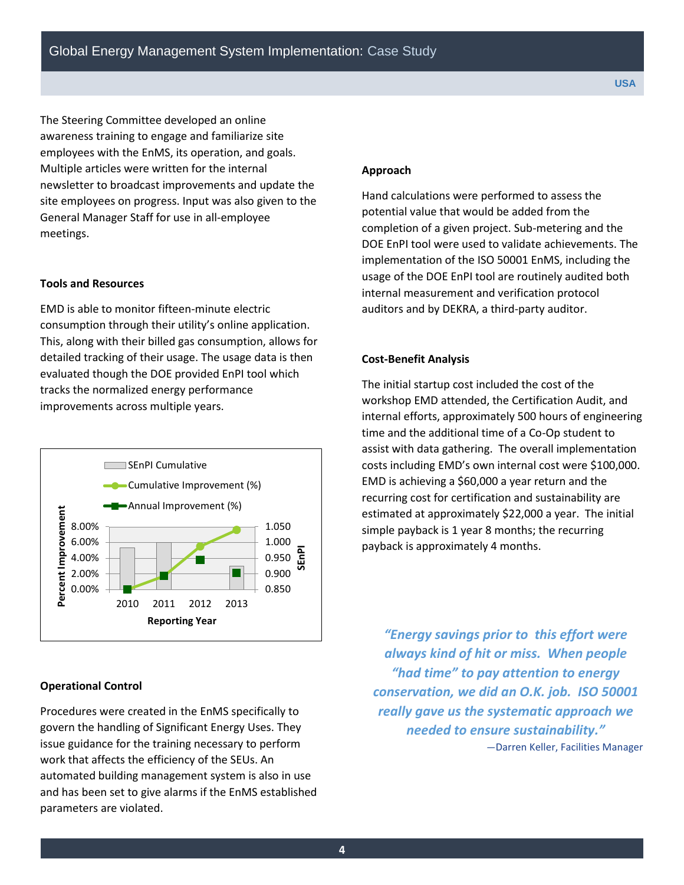awareness training to engage and familiarize site The Steering Committee developed an online employees with the EnMS, its operation, and goals. Multiple articles were written for the internal newsletter to broadcast improvements and update the site employees on progress. Input was also given to the General Manager Staff for use in all-employee meetings.

#### **Tools and Resources**

 consumption through their utility's online application. evaluated though the DOE provided EnPI tool which EMD is able to monitor fifteen-minute electric This, along with their billed gas consumption, allows for detailed tracking of their usage. The usage data is then tracks the normalized energy performance improvements across multiple years.



#### **Operational Control**

 Procedures were created in the EnMS specifically to govern the handling of Significant Energy Uses. They issue guidance for the training necessary to perform work that affects the efficiency of the SEUs. An automated building management system is also in use and has been set to give alarms if the EnMS established parameters are violated.

#### **Approach**

 implementation of the ISO 50001 EnMS, including the internal measurement and verification protocol Hand calculations were performed to assess the potential value that would be added from the completion of a given project. Sub-metering and the DOE EnPI tool were used to validate achievements. The usage of the DOE EnPI tool are routinely audited both auditors and by DEKRA, a third-party auditor.

#### **Cost-Benefit Analysis**

 costs including EMD's own internal cost were \$100,000. EMD is achieving a \$60,000 a year return and the simple payback is 1 year 8 months; the recurring The initial startup cost included the cost of the workshop EMD attended, the Certification Audit, and internal efforts, approximately 500 hours of engineering time and the additional time of a Co-Op student to assist with data gathering. The overall implementation recurring cost for certification and sustainability are estimated at approximately \$22,000 a year. The initial payback is approximately 4 months.

 *"Energy savings prior to this effort were always kind of hit or miss. When people conservation, we did an O.K. job. ISO 50001 really gave us the systematic approach we needed to ensure sustainability." "had time" to pay attention to energy*  —Darren Keller, Facilities Manager